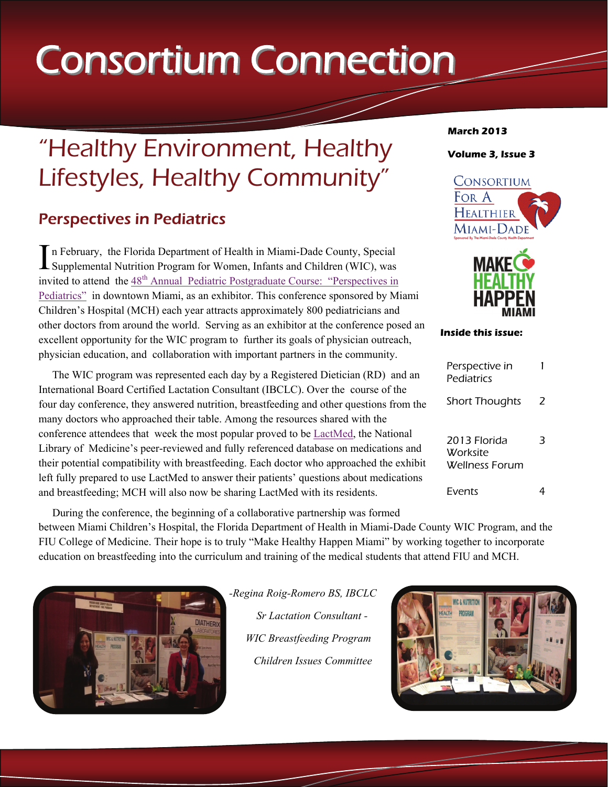# **Consortium Connection**

## "Healthy Environment, Healthy Lifestyles, Healthy Community"

#### Perspectives in Pediatrics

In February, the Florida Department of Health in Miami-Dade County, Special Supplemental Nutrition Program for Women, Infants and Children (WIC), was invited to attend the 48<sup>th</sup> Annual Pediatric Postgraduate Course: "Perspectives in [Pediatrics"](http://www.ppgcpip.com/) in downtown Miami, as an exhibitor. This conference sponsored by Miami Children's Hospital (MCH) each year attracts approximately 800 pediatricians and other doctors from around the world. Serving as an exhibitor at the conference posed an excellent opportunity for the WIC program to further its goals of physician outreach, physician education, and collaboration with important partners in the community.

 The WIC program was represented each day by a Registered Dietician (RD) and an International Board Certified Lactation Consultant (IBCLC). Over the course of the four day conference, they answered nutrition, breastfeeding and other questions from the many doctors who approached their table. Among the resources shared with the conference attendees that week the most popular proved to be [LactMed,](http://toxnet.nlm.nih.gov/cgi-bin/sis/htmlgen?LACT) the National Library of Medicine's peer-reviewed and fully referenced database on medications and their potential compatibility with breastfeeding. Each doctor who approached the exhibit left fully prepared to use LactMed to answer their patients' questions about medications and breastfeeding; MCH will also now be sharing LactMed with its residents.

**MAKF Inside this issue:** 

| Perspective in<br>Pediatrics               |   |
|--------------------------------------------|---|
| <b>Short Thoughts</b>                      | 2 |
| 2013 Florida<br>Worksite<br>Wellness Forum |   |
| Fvents                                     |   |

 During the conference, the beginning of a collaborative partnership was formed between Miami Children's Hospital, the Florida Department of Health in Miami-Dade County WIC Program, and the FIU College of Medicine. Their hope is to truly "Make Healthy Happen Miami" by working together to incorporate education on breastfeeding into the curriculum and training of the medical students that attend FIU and MCH.



*-Regina Roig-Romero BS, IBCLC Sr Lactation Consultant - WIC Breastfeeding Program Children Issues Committee* 



#### **March 2013**

For A HEALTHIER Miami-Dade

**Volume 3, Issue 3** 

CONSORTIUM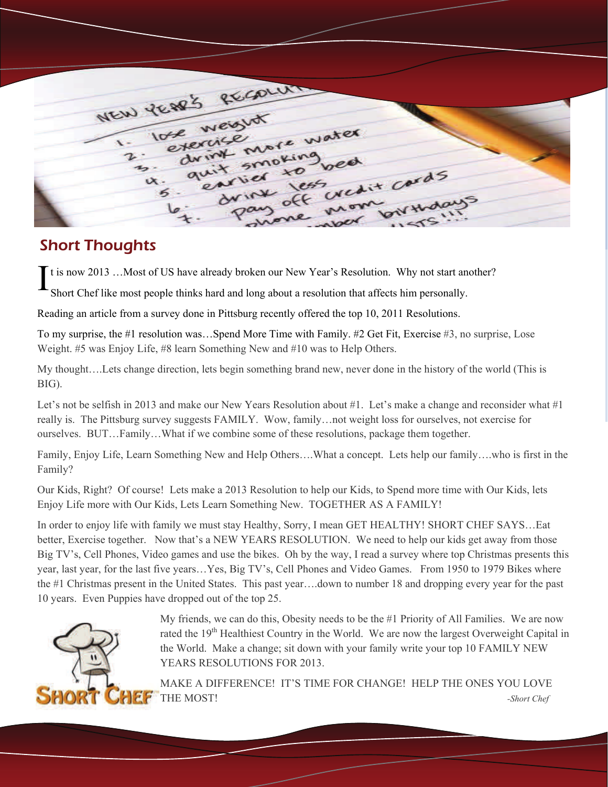| NEW PEARS RECOLUM |                                         |                |  |
|-------------------|-----------------------------------------|----------------|--|
| 1- lose weight    |                                         |                |  |
| 2. eternice       | s. drint more water                     |                |  |
| 4. guit smoking   | 5. enried to bed<br>pay off wedit cords |                |  |
|                   | le: drink less<br>shone non             | what lowthdays |  |
|                   |                                         |                |  |

#### Short Thoughts

It is now 2013 ... Most of US have already broken our New Year's Resolution. Why not start another?

Short Chef like most people thinks hard and long about a resolution that affects him personally.

Reading an article from a survey done in Pittsburg recently offered the top 10, 2011 Resolutions.

To my surprise, the #1 resolution was…Spend More Time with Family. #2 Get Fit, Exercise #3, no surprise, Lose Weight. #5 was Enjoy Life, #8 learn Something New and #10 was to Help Others.

My thought….Lets change direction, lets begin something brand new, never done in the history of the world (This is BIG).

Let's not be selfish in 2013 and make our New Years Resolution about #1. Let's make a change and reconsider what #1 really is. The Pittsburg survey suggests FAMILY. Wow, family…not weight loss for ourselves, not exercise for ourselves. BUT…Family…What if we combine some of these resolutions, package them together.

Family, Enjoy Life, Learn Something New and Help Others….What a concept. Lets help our family….who is first in the Family?

Our Kids, Right? Of course! Lets make a 2013 Resolution to help our Kids, to Spend more time with Our Kids, lets Enjoy Life more with Our Kids, Lets Learn Something New. TOGETHER AS A FAMILY!

In order to enjoy life with family we must stay Healthy, Sorry, I mean GET HEALTHY! SHORT CHEF SAYS…Eat better, Exercise together. Now that's a NEW YEARS RESOLUTION. We need to help our kids get away from those Big TV's, Cell Phones, Video games and use the bikes. Oh by the way, I read a survey where top Christmas presents this year, last year, for the last five years…Yes, Big TV's, Cell Phones and Video Games. From 1950 to 1979 Bikes where the #1 Christmas present in the United States. This past year….down to number 18 and dropping every year for the past 10 years. Even Puppies have dropped out of the top 25.



My friends, we can do this, Obesity needs to be the #1 Priority of All Families. We are now rated the 19<sup>th</sup> Healthiest Country in the World. We are now the largest Overweight Capital in the World. Make a change; sit down with your family write your top 10 FAMILY NEW YEARS RESOLUTIONS FOR 2013.

MAKE A DIFFERENCE! IT'S TIME FOR CHANGE! HELP THE ONES YOU LOVE THE MOST! *-Short Chef*